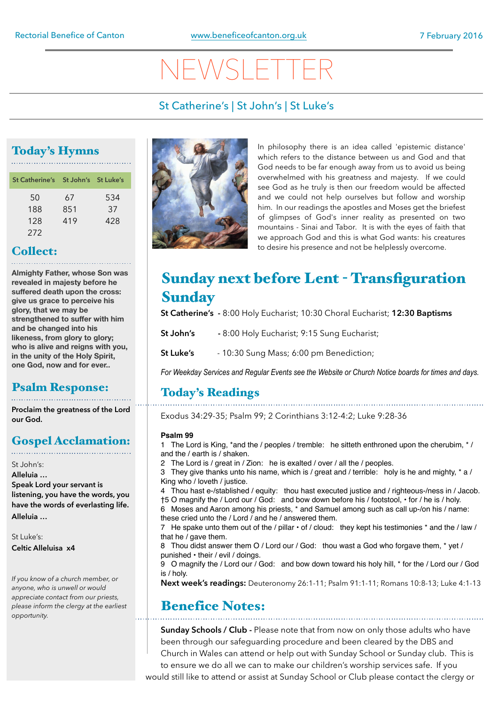# NEWSI

# St Catherine's | St John's | St Luke's

# Today's Hymns

| St Catherine's St John's St Luke's |     |     |
|------------------------------------|-----|-----|
| 50                                 | 67  | 534 |
| 188                                | 851 | 37  |
| 128                                | 419 | 428 |
| 272                                |     |     |

Collect:

**Almighty Father, whose Son was revealed in majesty before he suffered death upon the cross: give us grace to perceive his glory, that we may be strengthened to suffer with him and be changed into his likeness, from glory to glory; who is alive and reigns with you, in the unity of the Holy Spirit, one God, now and for ever..**

# Psalm Response:

**Proclaim the greatness of the Lord our God.** 

# Gospel Acclamation:

St John's:

**Alleluia …** 

**Speak Lord your servant is listening, you have the words, you have the words of everlasting life. Alleluia …** 

St Luke's: **Celtic Alleluisa x4** 

*If you know of a church member, or anyone, who is unwell or would appreciate contact from our priests, please inform the clergy at the earliest opportunity.* 



In philosophy there is an idea called 'epistemic distance' which refers to the distance between us and God and that God needs to be far enough away from us to avoid us being overwhelmed with his greatness and majesty. If we could see God as he truly is then our freedom would be affected and we could not help ourselves but follow and worship him. In our readings the apostles and Moses get the briefest of glimpses of God's inner reality as presented on two mountains - Sinai and Tabor. It is with the eyes of faith that we approach God and this is what God wants: his creatures to desire his presence and not be helplessly overcome.

# Sunday next before Lent - Transfiguration Sunday

**St Catherine's -** 8:00 Holy Eucharist; 10:30 Choral Eucharist; **12:30 Baptisms**

- **St John's** 8:00 Holy Eucharist; 9:15 Sung Eucharist;
- **St Luke's**  10:30 Sung Mass; 6:00 pm Benediction;

*For Weekday Services and Regular Events see the Website or Church Notice boards for times and days.* 

# Today's Readings

Exodus 34:29-35; Psalm 99; 2 Corinthians 3:12-4:2; Luke 9:28-36

### **Psalm 99** ! ! ! ! ! ! ! ! !

1 The Lord is King, \*and the / peoples / tremble: he sitteth enthroned upon the cherubim, \* / and the / earth is / shaken.

2 The Lord is / great in / Zion: he is exalted / over / all the / peoples.

3 They give thanks unto his name, which is / great and / terrible: holy is he and mighty, \* a / King who / loveth / justice.

- 4 Thou hast e-/stablished / equity: thou hast executed justice and / righteous-/ness in / Jacob.
- †5 O magnify the / Lord our / God: and bow down before his / footstool, for / he is / holy. 6 Moses and Aaron among his priests, \* and Samuel among such as call up-/on his / name:

these cried unto the / Lord / and he / answered them.

- 7 He spake unto them out of the / pillar  $\cdot$  of / cloud: they kept his testimonies \* and the / law / that he / gave them.
- 8 Thou didst answer them O / Lord our / God: thou wast a God who forgave them, \* yet / punished • their / evil / doings.
- 9 O magnify the / Lord our / God: and bow down toward his holy hill, \* for the / Lord our / God is / holy.

**Next week's readings:** Deuteronomy 26:1-11; Psalm 91:1-11; Romans 10:8-13; Luke 4:1-13

# Benefice Notes:

**Sunday Schools / Club -** Please note that from now on only those adults who have been through our safeguarding procedure and been cleared by the DBS and Church in Wales can attend or help out with Sunday School or Sunday club. This is to ensure we do all we can to make our children's worship services safe. If you would still like to attend or assist at Sunday School or Club please contact the clergy or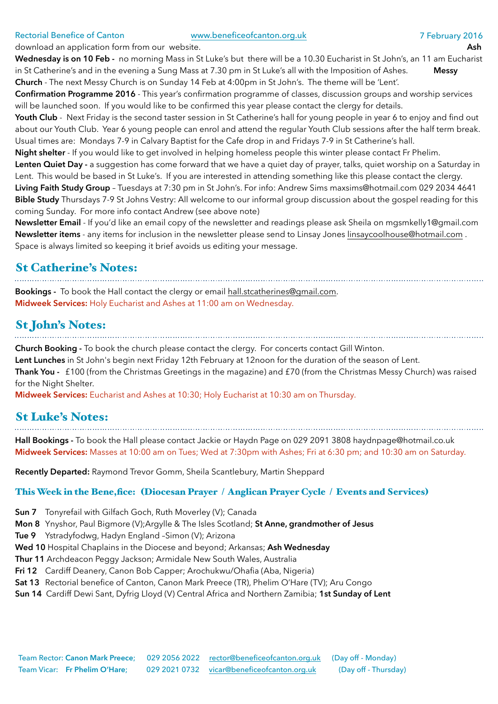download an application form from our website. **Ash** 

**Wednesday is on 10 Feb -** no morning Mass in St Luke's but there will be a 10.30 Eucharist in St John's, an 11 am Eucharist in St Catherine's and in the evening a Sung Mass at 7.30 pm in St Luke's all with the Imposition of Ashes. **Messy Church** - The next Messy Church is on Sunday 14 Feb at 4:00pm in St John's. The theme will be 'Lent'.

**Confirmation Programme 2016** - This year's confirmation programme of classes, discussion groups and worship services will be launched soon. If you would like to be confirmed this year please contact the clergy for details.

Youth Club - Next Friday is the second taster session in St Catherine's hall for young people in year 6 to enjoy and find out about our Youth Club. Year 6 young people can enrol and attend the regular Youth Club sessions after the half term break. Usual times are: Mondays 7-9 in Calvary Baptist for the Cafe drop in and Fridays 7-9 in St Catherine's hall.

**Night shelter** - If you would like to get involved in helping homeless people this winter please contact Fr Phelim.

Lenten Quiet Day - a suggestion has come forward that we have a quiet day of prayer, talks, quiet worship on a Saturday in Lent. This would be based in St Luke's. If you are interested in attending something like this please contact the clergy. **Living Faith Study Group** – Tuesdays at 7:30 pm in St John's. For info: Andrew Sims [maxsims@hotmail.com](mailto:maxsims@hotmail.com) 029 2034 4641

**Bible Study** Thursdays 7-9 St Johns Vestry: All welcome to our informal group discussion about the gospel reading for this coming Sunday. For more info contact Andrew (see above note)

**Newsletter Email** - If you'd like an email copy of the newsletter and readings please ask Sheila on [mgsmkelly1@gmail.com](mailto:mgsmkelly1@gmail.com)  **Newsletter items** - any items for inclusion in the newsletter please send to Linsay Jones [linsaycoolhouse@hotmail.com](mailto:linsaycoolhouse@hotmail.com) . Space is always limited so keeping it brief avoids us editing your message.

# St Catherine's Notes:

**Bookings -** To book the Hall contact the clergy or email [hall.stcatherines@gmail.com.](mailto:hall.stcatherines@gmail.com) **Midweek Services:** Holy Eucharist and Ashes at 11:00 am on Wednesday.

St John's Notes:

**Church Booking -** To book the church please contact the clergy. For concerts contact Gill Winton.

**Lent Lunches** in St John's begin next Friday 12th February at 12noon for the duration of the season of Lent.

**Thank You -** £100 (from the Christmas Greetings in the magazine) and £70 (from the Christmas Messy Church) was raised for the Night Shelter.

**Midweek Services:** Eucharist and Ashes at 10:30; Holy Eucharist at 10:30 am on Thursday.

# St Luke's Notes:

**Hall Bookings -** To book the Hall please contact Jackie or Haydn Page on 029 2091 3808 [haydnpage@hotmail.co.uk](mailto:haydnpage@hotmail.co.uk) **Midweek Services:** Masses at 10:00 am on Tues; Wed at 7:30pm with Ashes; Fri at 6:30 pm; and 10:30 am on Saturday.

**Recently Departed:** Raymond Trevor Gomm, Sheila Scantlebury, Martin Sheppard

### This Week in the Bene,fice: (Diocesan Prayer / Anglican Prayer Cycle / Events and Services)

**Sun 7** Tonyrefail with Gilfach Goch, Ruth Moverley (V); Canada

**Mon 8** Ynyshor, Paul Bigmore (V);Argylle & The Isles Scotland; **St Anne, grandmother of Jesus** 

**Tue 9** Ystradyfodwg, Hadyn England –Simon (V); Arizona

**Wed 10** Hospital Chaplains in the Diocese and beyond; Arkansas; **Ash Wednesday** 

**Thur 11** Archdeacon Peggy Jackson; Armidale New South Wales, Australia

**Fri 12** Cardiff Deanery, Canon Bob Capper; Arochukwu/Ohafia (Aba, Nigeria)

**Sat 13** Rectorial benefice of Canton, Canon Mark Preece (TR), Phelim O'Hare (TV); Aru Congo

**Sun 14** Cardiff Dewi Sant, Dyfrig Lloyd (V) Central Africa and Northern Zamibia; **1st Sunday of Lent**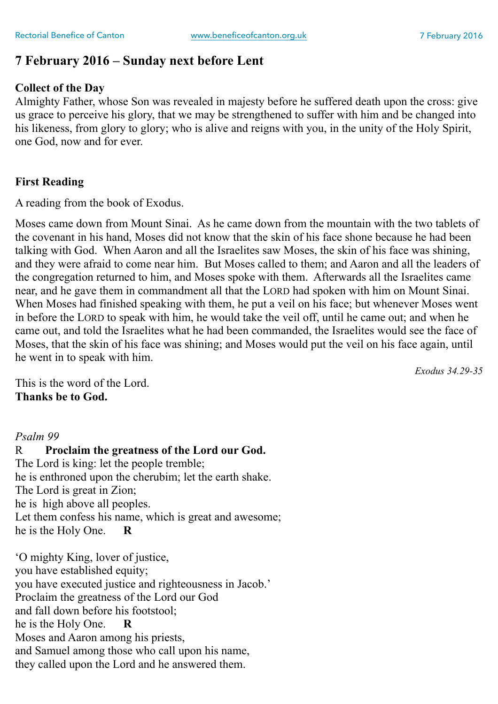# **7 February 2016 – Sunday next before Lent**

# **Collect of the Day**

Almighty Father, whose Son was revealed in majesty before he suffered death upon the cross: give us grace to perceive his glory, that we may be strengthened to suffer with him and be changed into his likeness, from glory to glory; who is alive and reigns with you, in the unity of the Holy Spirit, one God, now and for ever.

# **First Reading**

A reading from the book of Exodus.

Moses came down from Mount Sinai. As he came down from the mountain with the two tablets of the covenant in his hand, Moses did not know that the skin of his face shone because he had been talking with God. When Aaron and all the Israelites saw Moses, the skin of his face was shining, and they were afraid to come near him. But Moses called to them; and Aaron and all the leaders of the congregation returned to him, and Moses spoke with them. Afterwards all the Israelites came near, and he gave them in commandment all that the LORD had spoken with him on Mount Sinai. When Moses had finished speaking with them, he put a veil on his face; but whenever Moses went in before the LORD to speak with him, he would take the veil off, until he came out; and when he came out, and told the Israelites what he had been commanded, the Israelites would see the face of Moses, that the skin of his face was shining; and Moses would put the veil on his face again, until he went in to speak with him.

*Exodus 34.29-35* 

This is the word of the Lord. **Thanks be to God.** 

# *Psalm 99*

# R **Proclaim the greatness of the Lord our God.**  The Lord is king: let the people tremble; he is enthroned upon the cherubim; let the earth shake. The Lord is great in Zion; he is high above all peoples. Let them confess his name, which is great and awesome; he is the Holy One. **R**

'O mighty King, lover of justice, you have established equity; you have executed justice and righteousness in Jacob.' Proclaim the greatness of the Lord our God and fall down before his footstool; he is the Holy One. **R**  Moses and Aaron among his priests, and Samuel among those who call upon his name, they called upon the Lord and he answered them.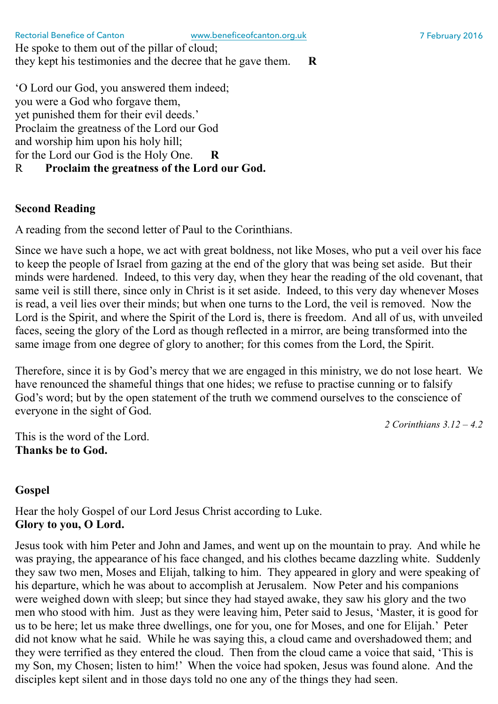He spoke to them out of the pillar of cloud; they kept his testimonies and the decree that he gave them. **R** 

'O Lord our God, you answered them indeed; you were a God who forgave them, yet punished them for their evil deeds.' Proclaim the greatness of the Lord our God and worship him upon his holy hill; for the Lord our God is the Holy One. **R**  R **Proclaim the greatness of the Lord our God.** 

# **Second Reading**

A reading from the second letter of Paul to the Corinthians.

Since we have such a hope, we act with great boldness, not like Moses, who put a veil over his face to keep the people of Israel from gazing at the end of the glory that was being set aside. But their minds were hardened. Indeed, to this very day, when they hear the reading of the old covenant, that same veil is still there, since only in Christ is it set aside. Indeed, to this very day whenever Moses is read, a veil lies over their minds; but when one turns to the Lord, the veil is removed. Now the Lord is the Spirit, and where the Spirit of the Lord is, there is freedom. And all of us, with unveiled faces, seeing the glory of the Lord as though reflected in a mirror, are being transformed into the same image from one degree of glory to another; for this comes from the Lord, the Spirit.

Therefore, since it is by God's mercy that we are engaged in this ministry, we do not lose heart. We have renounced the shameful things that one hides; we refuse to practise cunning or to falsify God's word; but by the open statement of the truth we commend ourselves to the conscience of everyone in the sight of God.

*2 Corinthians 3.12 – 4.2* 

This is the word of the Lord. **Thanks be to God.** 

# **Gospel**

Hear the holy Gospel of our Lord Jesus Christ according to Luke. **Glory to you, O Lord.** 

Jesus took with him Peter and John and James, and went up on the mountain to pray. And while he was praying, the appearance of his face changed, and his clothes became dazzling white. Suddenly they saw two men, Moses and Elijah, talking to him. They appeared in glory and were speaking of his departure, which he was about to accomplish at Jerusalem. Now Peter and his companions were weighed down with sleep; but since they had stayed awake, they saw his glory and the two men who stood with him. Just as they were leaving him, Peter said to Jesus, 'Master, it is good for us to be here; let us make three dwellings, one for you, one for Moses, and one for Elijah.' Peter did not know what he said. While he was saying this, a cloud came and overshadowed them; and they were terrified as they entered the cloud. Then from the cloud came a voice that said, 'This is my Son, my Chosen; listen to him!' When the voice had spoken, Jesus was found alone. And the disciples kept silent and in those days told no one any of the things they had seen.